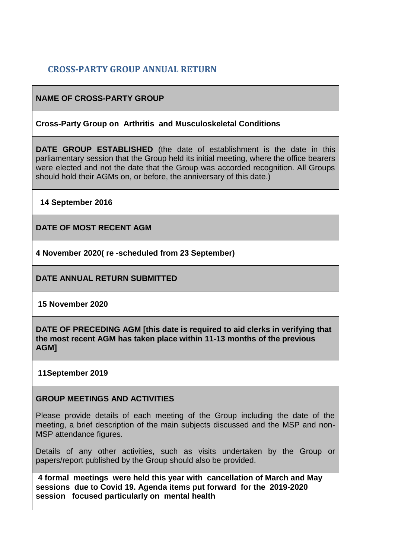# **CROSS-PARTY GROUP ANNUAL RETURN**

## **NAME OF CROSS-PARTY GROUP**

### **Cross-Party Group on Arthritis and Musculoskeletal Conditions**

**DATE GROUP ESTABLISHED** (the date of establishment is the date in this parliamentary session that the Group held its initial meeting, where the office bearers were elected and not the date that the Group was accorded recognition. All Groups should hold their AGMs on, or before, the anniversary of this date.)

**14 September 2016**

**DATE OF MOST RECENT AGM**

**4 November 2020( re -scheduled from 23 September)**

**DATE ANNUAL RETURN SUBMITTED**

**15 November 2020**

**DATE OF PRECEDING AGM [this date is required to aid clerks in verifying that the most recent AGM has taken place within 11-13 months of the previous AGM]**

### **11September 2019**

### **GROUP MEETINGS AND ACTIVITIES**

Please provide details of each meeting of the Group including the date of the meeting, a brief description of the main subjects discussed and the MSP and non-MSP attendance figures.

Details of any other activities, such as visits undertaken by the Group or papers/report published by the Group should also be provided.

**4 formal meetings were held this year with cancellation of March and May sessions due to Covid 19. Agenda items put forward for the 2019-2020 session focused particularly on mental health**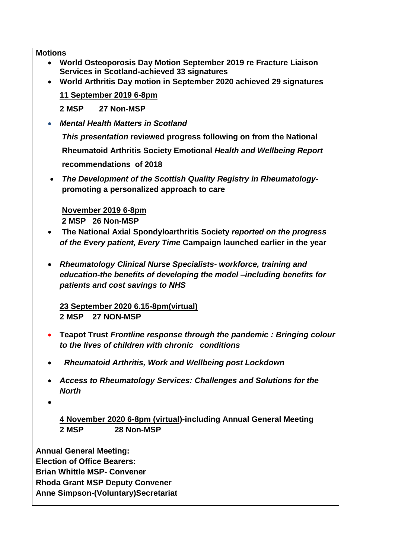**Motions**

- **World Osteoporosis Day Motion September 2019 re Fracture Liaison Services in Scotland-achieved 33 signatures**
- **World Arthritis Day motion in September 2020 achieved 29 signatures**

**11 September 2019 6-8pm**

**2 MSP 27 Non-MSP**

• *Mental Health Matters in Scotland*

*This presentation* **reviewed progress following on from the National Rheumatoid Arthritis Society Emotional** *Health and Wellbeing Report* **recommendations of 2018**

• *The Development of the Scottish Quality Registry in Rheumatology***promoting a personalized approach to care**

**November 2019 6-8pm 2 MSP 26 Non-MSP**

- **The National Axial Spondyloarthritis Society** *reported on the progress of the Every patient, Every Time* **Campaign launched earlier in the year**
- *Rheumatology Clinical Nurse Specialists- workforce, training and education-the benefits of developing the model –including benefits for patients and cost savings to NHS*

**23 September 2020 6.15-8pm(virtual) 2 MSP 27 NON-MSP**

- **Teapot Trust** *Frontline response through the pandemic : Bringing colour to the lives of children with chronic conditions*
- •*Rheumatoid Arthritis, Work and Wellbeing post Lockdown*
- *Access to Rheumatology Services: Challenges and Solutions for the North*
- •

**4 November 2020 6-8pm (virtual)-including Annual General Meeting 2 MSP 28 Non-MSP**

**Annual General Meeting: Election of Office Bearers: Brian Whittle MSP- Convener Rhoda Grant MSP Deputy Convener Anne Simpson-(Voluntary)Secretariat**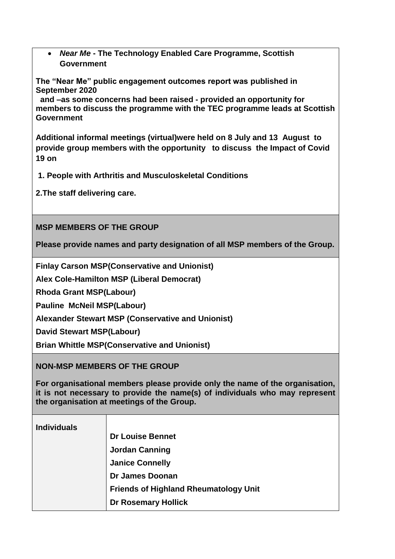• *Near Me* **- The Technology Enabled Care Programme, Scottish Government**

**The "Near Me" public engagement outcomes report was published in September 2020**

 **and –as some concerns had been raised - provided an opportunity for members to discuss the programme with the TEC programme leads at Scottish Government**

**Additional informal meetings (virtual)were held on 8 July and 13 August to provide group members with the opportunity to discuss the Impact of Covid 19 on**

**1. People with Arthritis and Musculoskeletal Conditions** 

**2.The staff delivering care.**

**MSP MEMBERS OF THE GROUP**

**Please provide names and party designation of all MSP members of the Group.** 

**Finlay Carson MSP(Conservative and Unionist)**

**Alex Cole-Hamilton MSP (Liberal Democrat)**

**Rhoda Grant MSP(Labour)**

**Pauline McNeil MSP(Labour)**

**Alexander Stewart MSP (Conservative and Unionist)**

**David Stewart MSP(Labour)**

**Brian Whittle MSP(Conservative and Unionist)**

**NON-MSP MEMBERS OF THE GROUP**

**For organisational members please provide only the name of the organisation, it is not necessary to provide the name(s) of individuals who may represent the organisation at meetings of the Group.**

| 111417144415 |                                              |
|--------------|----------------------------------------------|
|              | <b>Dr Louise Bennet</b>                      |
|              | <b>Jordan Canning</b>                        |
|              | <b>Janice Connelly</b>                       |
|              | <b>Dr James Doonan</b>                       |
|              | <b>Friends of Highland Rheumatology Unit</b> |
|              | <b>Dr Rosemary Hollick</b>                   |
|              |                                              |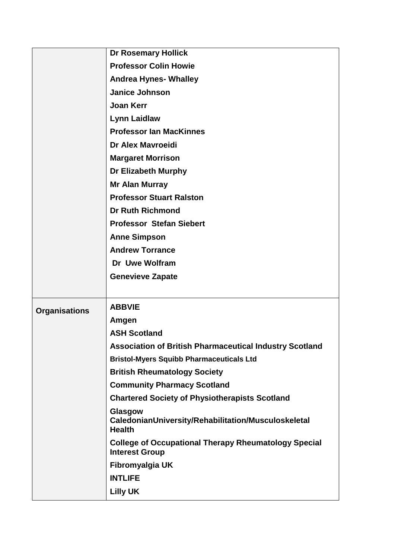|                      | <b>Dr Rosemary Hollick</b>                                                           |
|----------------------|--------------------------------------------------------------------------------------|
|                      | <b>Professor Colin Howie</b>                                                         |
|                      | <b>Andrea Hynes- Whalley</b>                                                         |
|                      | <b>Janice Johnson</b>                                                                |
|                      | <b>Joan Kerr</b>                                                                     |
|                      | <b>Lynn Laidlaw</b>                                                                  |
|                      | <b>Professor Ian MacKinnes</b>                                                       |
|                      | <b>Dr Alex Mavroeidi</b>                                                             |
|                      | <b>Margaret Morrison</b>                                                             |
|                      | <b>Dr Elizabeth Murphy</b>                                                           |
|                      | <b>Mr Alan Murray</b>                                                                |
|                      | <b>Professor Stuart Ralston</b>                                                      |
|                      | <b>Dr Ruth Richmond</b>                                                              |
|                      | <b>Professor Stefan Siebert</b>                                                      |
|                      | <b>Anne Simpson</b>                                                                  |
|                      | <b>Andrew Torrance</b>                                                               |
|                      | Dr Uwe Wolfram                                                                       |
|                      | <b>Genevieve Zapate</b>                                                              |
|                      |                                                                                      |
| <b>Organisations</b> | <b>ABBVIE</b>                                                                        |
|                      | Amgen                                                                                |
|                      | <b>ASH Scotland</b>                                                                  |
|                      | <b>Association of British Pharmaceutical Industry Scotland</b>                       |
|                      | <b>Bristol-Myers Squibb Pharmaceuticals Ltd</b>                                      |
|                      | <b>British Rheumatology Society</b>                                                  |
|                      | <b>Community Pharmacy Scotland</b>                                                   |
|                      | <b>Chartered Society of Physiotherapists Scotland</b>                                |
|                      | Glasgow<br>CaledonianUniversity/Rehabilitation/Musculoskeletal<br><b>Health</b>      |
|                      | <b>College of Occupational Therapy Rheumatology Special</b><br><b>Interest Group</b> |
|                      |                                                                                      |
|                      | Fibromyalgia UK                                                                      |
|                      | <b>INTLIFE</b>                                                                       |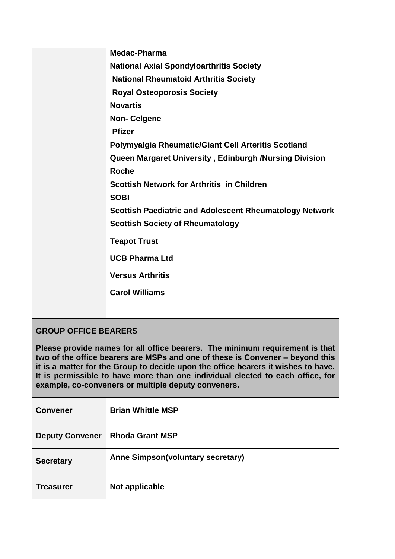| Medac-Pharma                                                   |
|----------------------------------------------------------------|
| <b>National Axial Spondyloarthritis Society</b>                |
| <b>National Rheumatoid Arthritis Society</b>                   |
| <b>Royal Osteoporosis Society</b>                              |
| <b>Novartis</b>                                                |
| <b>Non-Celgene</b>                                             |
| <b>Pfizer</b>                                                  |
| Polymyalgia Rheumatic/Giant Cell Arteritis Scotland            |
| Queen Margaret University, Edinburgh /Nursing Division         |
| <b>Roche</b>                                                   |
| <b>Scottish Network for Arthritis in Children</b>              |
| <b>SOBI</b>                                                    |
| <b>Scottish Paediatric and Adolescent Rheumatology Network</b> |
| <b>Scottish Society of Rheumatology</b>                        |
| <b>Teapot Trust</b>                                            |
| <b>UCB Pharma Ltd</b>                                          |
| <b>Versus Arthritis</b>                                        |
| <b>Carol Williams</b>                                          |
|                                                                |

## **GROUP OFFICE BEARERS**

**Please provide names for all office bearers. The minimum requirement is that two of the office bearers are MSPs and one of these is Convener – beyond this it is a matter for the Group to decide upon the office bearers it wishes to have. It is permissible to have more than one individual elected to each office, for example, co-conveners or multiple deputy conveners.**

| <b>Convener</b>        | <b>Brian Whittle MSP</b>          |
|------------------------|-----------------------------------|
| <b>Deputy Convener</b> | <b>Rhoda Grant MSP</b>            |
| <b>Secretary</b>       | Anne Simpson(voluntary secretary) |
| Treasurer              | Not applicable                    |